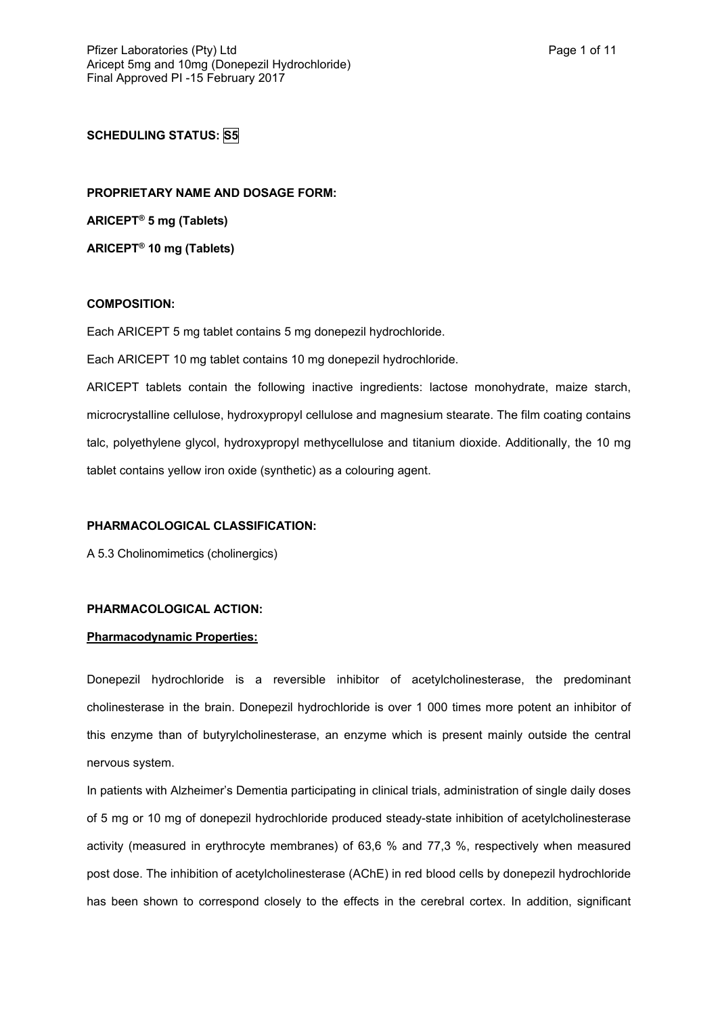# **SCHEDULING STATUS: S5**

**PROPRIETARY NAME AND DOSAGE FORM: ARICEPT® 5 mg (Tablets) ARICEPT® 10 mg (Tablets)**

### **COMPOSITION:**

Each ARICEPT 5 mg tablet contains 5 mg donepezil hydrochloride.

Each ARICEPT 10 mg tablet contains 10 mg donepezil hydrochloride.

ARICEPT tablets contain the following inactive ingredients: lactose monohydrate, maize starch, microcrystalline cellulose, hydroxypropyl cellulose and magnesium stearate. The film coating contains talc, polyethylene glycol, hydroxypropyl methycellulose and titanium dioxide. Additionally, the 10 mg tablet contains yellow iron oxide (synthetic) as a colouring agent.

# **PHARMACOLOGICAL CLASSIFICATION:**

A 5.3 Cholinomimetics (cholinergics)

#### **PHARMACOLOGICAL ACTION:**

#### **Pharmacodynamic Properties:**

Donepezil hydrochloride is a reversible inhibitor of acetylcholinesterase, the predominant cholinesterase in the brain. Donepezil hydrochloride is over 1 000 times more potent an inhibitor of this enzyme than of butyrylcholinesterase, an enzyme which is present mainly outside the central nervous system.

In patients with Alzheimer's Dementia participating in clinical trials, administration of single daily doses of 5 mg or 10 mg of donepezil hydrochloride produced steady-state inhibition of acetylcholinesterase activity (measured in erythrocyte membranes) of 63,6 % and 77,3 %, respectively when measured post dose. The inhibition of acetylcholinesterase (AChE) in red blood cells by donepezil hydrochloride has been shown to correspond closely to the effects in the cerebral cortex. In addition, significant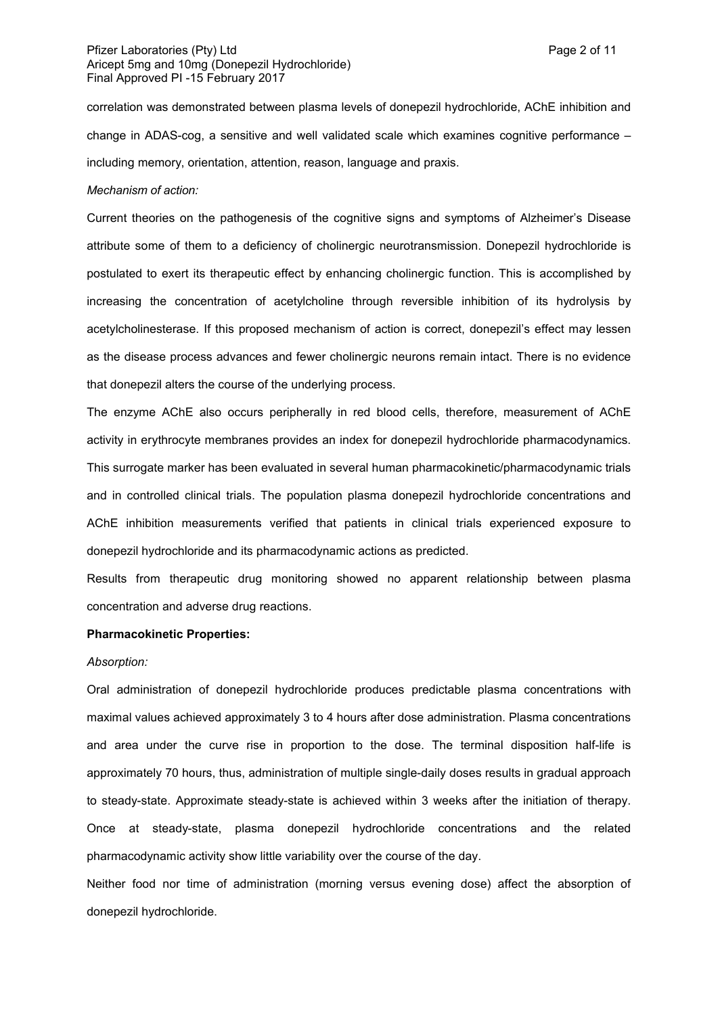correlation was demonstrated between plasma levels of donepezil hydrochloride, AChE inhibition and change in ADAS-cog, a sensitive and well validated scale which examines cognitive performance – including memory, orientation, attention, reason, language and praxis.

#### *Mechanism of action:*

Current theories on the pathogenesis of the cognitive signs and symptoms of Alzheimer's Disease attribute some of them to a deficiency of cholinergic neurotransmission. Donepezil hydrochloride is postulated to exert its therapeutic effect by enhancing cholinergic function. This is accomplished by increasing the concentration of acetylcholine through reversible inhibition of its hydrolysis by acetylcholinesterase. If this proposed mechanism of action is correct, donepezil's effect may lessen as the disease process advances and fewer cholinergic neurons remain intact. There is no evidence that donepezil alters the course of the underlying process.

The enzyme AChE also occurs peripherally in red blood cells, therefore, measurement of AChE activity in erythrocyte membranes provides an index for donepezil hydrochloride pharmacodynamics. This surrogate marker has been evaluated in several human pharmacokinetic/pharmacodynamic trials and in controlled clinical trials. The population plasma donepezil hydrochloride concentrations and AChE inhibition measurements verified that patients in clinical trials experienced exposure to donepezil hydrochloride and its pharmacodynamic actions as predicted.

Results from therapeutic drug monitoring showed no apparent relationship between plasma concentration and adverse drug reactions.

## **Pharmacokinetic Properties:**

#### *Absorption:*

Oral administration of donepezil hydrochloride produces predictable plasma concentrations with maximal values achieved approximately 3 to 4 hours after dose administration. Plasma concentrations and area under the curve rise in proportion to the dose. The terminal disposition half-life is approximately 70 hours, thus, administration of multiple single-daily doses results in gradual approach to steady-state. Approximate steady-state is achieved within 3 weeks after the initiation of therapy. Once at steady-state, plasma donepezil hydrochloride concentrations and the related pharmacodynamic activity show little variability over the course of the day.

Neither food nor time of administration (morning versus evening dose) affect the absorption of donepezil hydrochloride.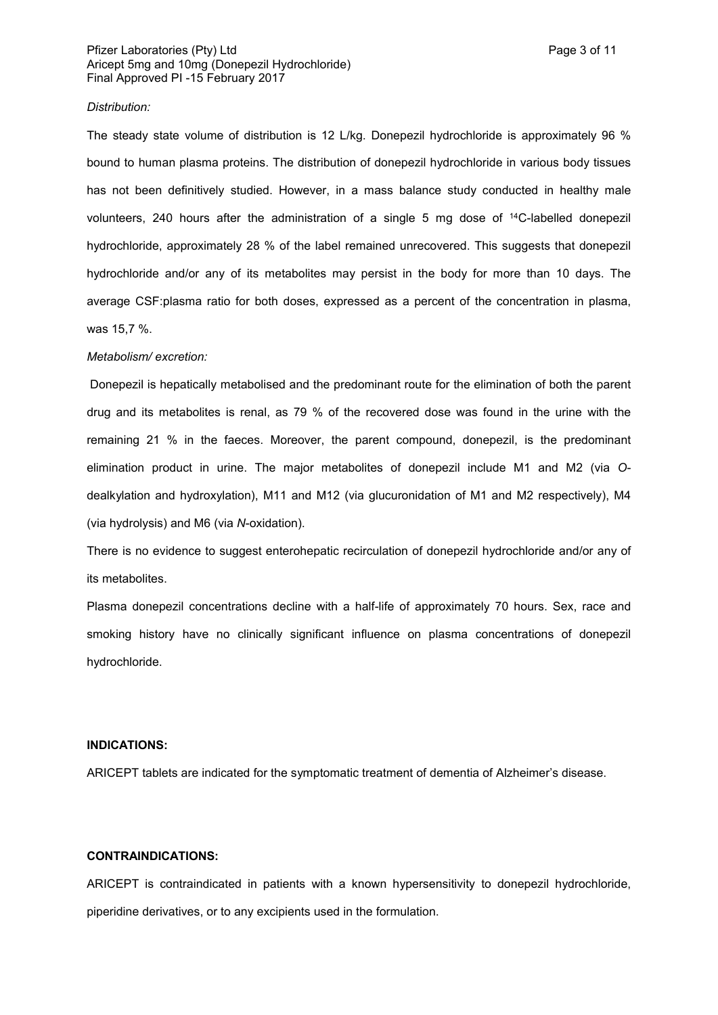#### *Distribution:*

The steady state volume of distribution is 12 L/kg. Donepezil hydrochloride is approximately 96 % bound to human plasma proteins. The distribution of donepezil hydrochloride in various body tissues has not been definitively studied. However, in a mass balance study conducted in healthy male volunteers, 240 hours after the administration of a single 5 mg dose of <sup>14</sup>C-labelled donepezil hydrochloride, approximately 28 % of the label remained unrecovered. This suggests that donepezil hydrochloride and/or any of its metabolites may persist in the body for more than 10 days. The average CSF:plasma ratio for both doses, expressed as a percent of the concentration in plasma, was 15,7 %.

#### *Metabolism/ excretion:*

Donepezil is hepatically metabolised and the predominant route for the elimination of both the parent drug and its metabolites is renal, as 79 % of the recovered dose was found in the urine with the remaining 21 % in the faeces. Moreover, the parent compound, donepezil, is the predominant elimination product in urine. The major metabolites of donepezil include M1 and M2 (via *O*dealkylation and hydroxylation), M11 and M12 (via glucuronidation of M1 and M2 respectively), M4 (via hydrolysis) and M6 (via *N*-oxidation).

There is no evidence to suggest enterohepatic recirculation of donepezil hydrochloride and/or any of its metabolites.

Plasma donepezil concentrations decline with a half-life of approximately 70 hours. Sex, race and smoking history have no clinically significant influence on plasma concentrations of donepezil hydrochloride.

# **INDICATIONS:**

ARICEPT tablets are indicated for the symptomatic treatment of dementia of Alzheimer's disease.

#### **CONTRAINDICATIONS:**

ARICEPT is contraindicated in patients with a known hypersensitivity to donepezil hydrochloride, piperidine derivatives, or to any excipients used in the formulation.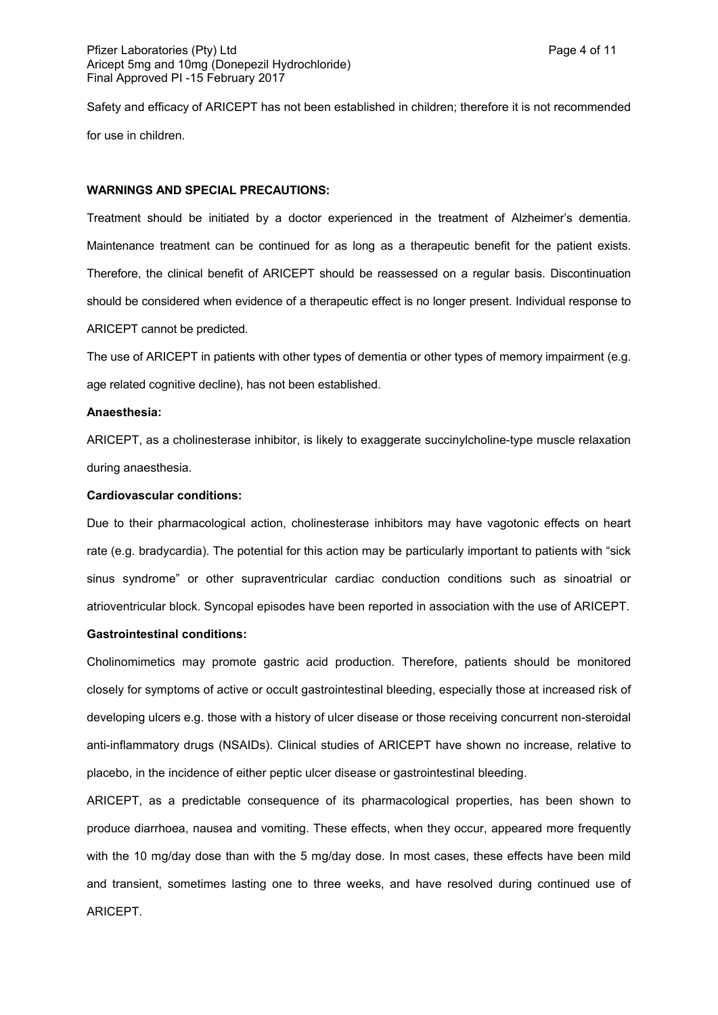Safety and efficacy of ARICEPT has not been established in children; therefore it is not recommended for use in children.

### **WARNINGS AND SPECIAL PRECAUTIONS:**

Treatment should be initiated by a doctor experienced in the treatment of Alzheimer's dementia. Maintenance treatment can be continued for as long as a therapeutic benefit for the patient exists. Therefore, the clinical benefit of ARICEPT should be reassessed on a regular basis. Discontinuation should be considered when evidence of a therapeutic effect is no longer present. Individual response to ARICEPT cannot be predicted.

The use of ARICEPT in patients with other types of dementia or other types of memory impairment (e.g. age related cognitive decline), has not been established.

#### **Anaesthesia:**

ARICEPT, as a cholinesterase inhibitor, is likely to exaggerate succinylcholine-type muscle relaxation during anaesthesia.

# **Cardiovascular conditions:**

Due to their pharmacological action, cholinesterase inhibitors may have vagotonic effects on heart rate (e.g. bradycardia). The potential for this action may be particularly important to patients with "sick sinus syndrome" or other supraventricular cardiac conduction conditions such as sinoatrial or atrioventricular block. Syncopal episodes have been reported in association with the use of ARICEPT.

#### **Gastrointestinal conditions:**

Cholinomimetics may promote gastric acid production. Therefore, patients should be monitored closely for symptoms of active or occult gastrointestinal bleeding, especially those at increased risk of developing ulcers e.g. those with a history of ulcer disease or those receiving concurrent non-steroidal anti-inflammatory drugs (NSAIDs). Clinical studies of ARICEPT have shown no increase, relative to placebo, in the incidence of either peptic ulcer disease or gastrointestinal bleeding.

ARICEPT, as a predictable consequence of its pharmacological properties, has been shown to produce diarrhoea, nausea and vomiting. These effects, when they occur, appeared more frequently with the 10 mg/day dose than with the 5 mg/day dose. In most cases, these effects have been mild and transient, sometimes lasting one to three weeks, and have resolved during continued use of ARICEPT.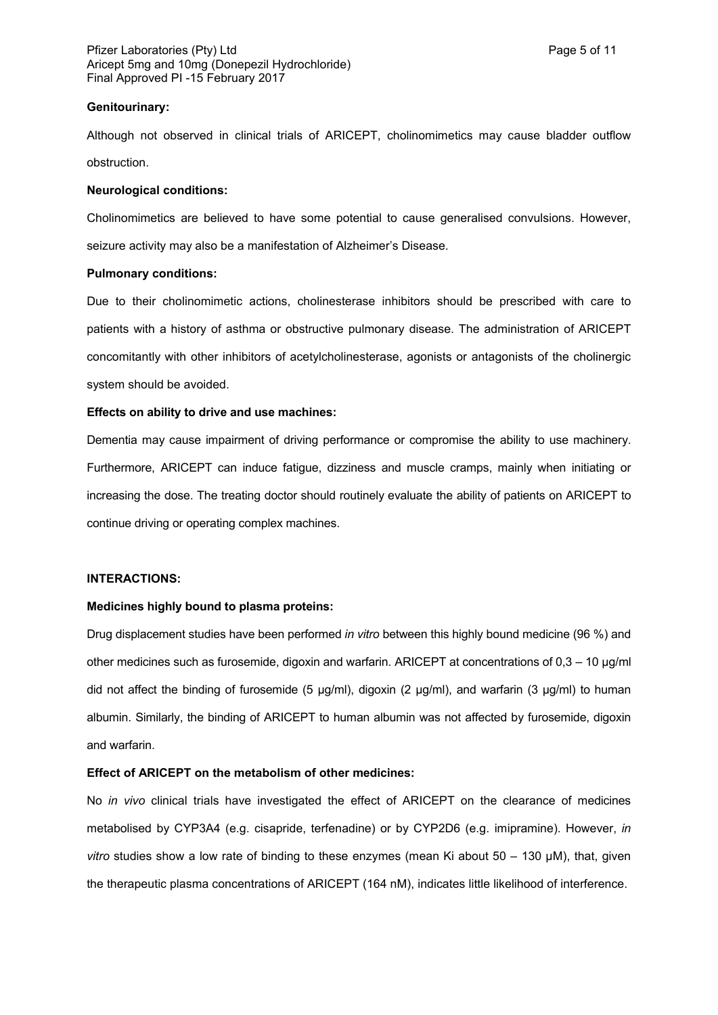### **Genitourinary:**

Although not observed in clinical trials of ARICEPT, cholinomimetics may cause bladder outflow obstruction.

### **Neurological conditions:**

Cholinomimetics are believed to have some potential to cause generalised convulsions. However, seizure activity may also be a manifestation of Alzheimer's Disease.

#### **Pulmonary conditions:**

Due to their cholinomimetic actions, cholinesterase inhibitors should be prescribed with care to patients with a history of asthma or obstructive pulmonary disease. The administration of ARICEPT concomitantly with other inhibitors of acetylcholinesterase, agonists or antagonists of the cholinergic system should be avoided.

### **Effects on ability to drive and use machines:**

Dementia may cause impairment of driving performance or compromise the ability to use machinery. Furthermore, ARICEPT can induce fatigue, dizziness and muscle cramps, mainly when initiating or increasing the dose. The treating doctor should routinely evaluate the ability of patients on ARICEPT to continue driving or operating complex machines.

#### **INTERACTIONS:**

### **Medicines highly bound to plasma proteins:**

Drug displacement studies have been performed *in vitro* between this highly bound medicine (96 %) and other medicines such as furosemide, digoxin and warfarin. ARICEPT at concentrations of 0,3 – 10 μg/ml did not affect the binding of furosemide (5 μg/ml), digoxin (2 μg/ml), and warfarin (3 μg/ml) to human albumin. Similarly, the binding of ARICEPT to human albumin was not affected by furosemide, digoxin and warfarin.

## **Effect of ARICEPT on the metabolism of other medicines:**

No *in vivo* clinical trials have investigated the effect of ARICEPT on the clearance of medicines metabolised by CYP3A4 (e.g. cisapride, terfenadine) or by CYP2D6 (e.g. imipramine). However, *in vitro* studies show a low rate of binding to these enzymes (mean Ki about 50 – 130 µM), that, given the therapeutic plasma concentrations of ARICEPT (164 nM), indicates little likelihood of interference.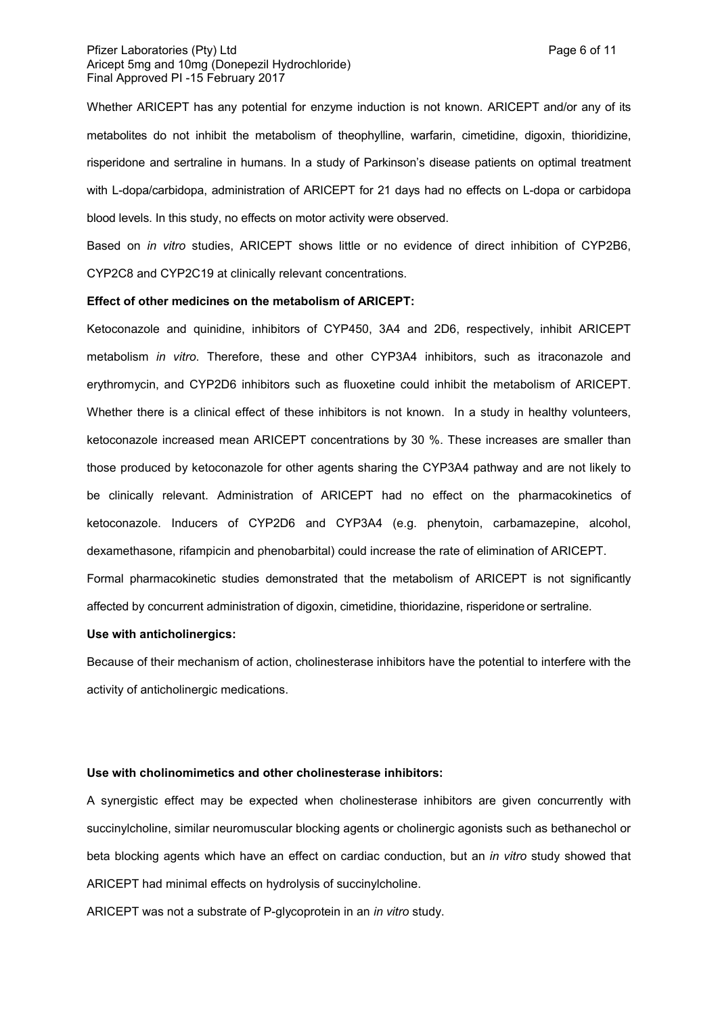#### Pfizer Laboratories (Pty) Ltd **Philosopheratories (Pty)** Ltd **Page 6 of 11** Aricept 5mg and 10mg (Donepezil Hydrochloride) Final Approved PI -15 February 2017

Whether ARICEPT has any potential for enzyme induction is not known. ARICEPT and/or any of its metabolites do not inhibit the metabolism of theophylline, warfarin, cimetidine, digoxin, thioridizine, risperidone and sertraline in humans. In a study of Parkinson's disease patients on optimal treatment with L-dopa/carbidopa, administration of ARICEPT for 21 days had no effects on L-dopa or carbidopa blood levels. In this study, no effects on motor activity were observed.

Based on *in vitro* studies, ARICEPT shows little or no evidence of direct inhibition of CYP2B6, CYP2C8 and CYP2C19 at clinically relevant concentrations.

#### **Effect of other medicines on the metabolism of ARICEPT:**

Ketoconazole and quinidine, inhibitors of CYP450, 3A4 and 2D6, respectively, inhibit ARICEPT metabolism *in vitro*. Therefore, these and other CYP3A4 inhibitors, such as itraconazole and erythromycin, and CYP2D6 inhibitors such as fluoxetine could inhibit the metabolism of ARICEPT. Whether there is a clinical effect of these inhibitors is not known. In a study in healthy volunteers, ketoconazole increased mean ARICEPT concentrations by 30 %. These increases are smaller than those produced by ketoconazole for other agents sharing the CYP3A4 pathway and are not likely to be clinically relevant. Administration of ARICEPT had no effect on the pharmacokinetics of ketoconazole. Inducers of CYP2D6 and CYP3A4 (e.g. phenytoin, carbamazepine, alcohol, dexamethasone, rifampicin and phenobarbital) could increase the rate of elimination of ARICEPT. Formal pharmacokinetic studies demonstrated that the metabolism of ARICEPT is not significantly affected by concurrent administration of digoxin, cimetidine, thioridazine, risperidone or sertraline.

#### **Use with anticholinergics:**

Because of their mechanism of action, cholinesterase inhibitors have the potential to interfere with the activity of anticholinergic medications.

## **Use with cholinomimetics and other cholinesterase inhibitors:**

A synergistic effect may be expected when cholinesterase inhibitors are given concurrently with succinylcholine, similar neuromuscular blocking agents or cholinergic agonists such as bethanechol or beta blocking agents which have an effect on cardiac conduction, but an *in vitro* study showed that ARICEPT had minimal effects on hydrolysis of succinylcholine.

ARICEPT was not a substrate of P-glycoprotein in an *in vitro* study.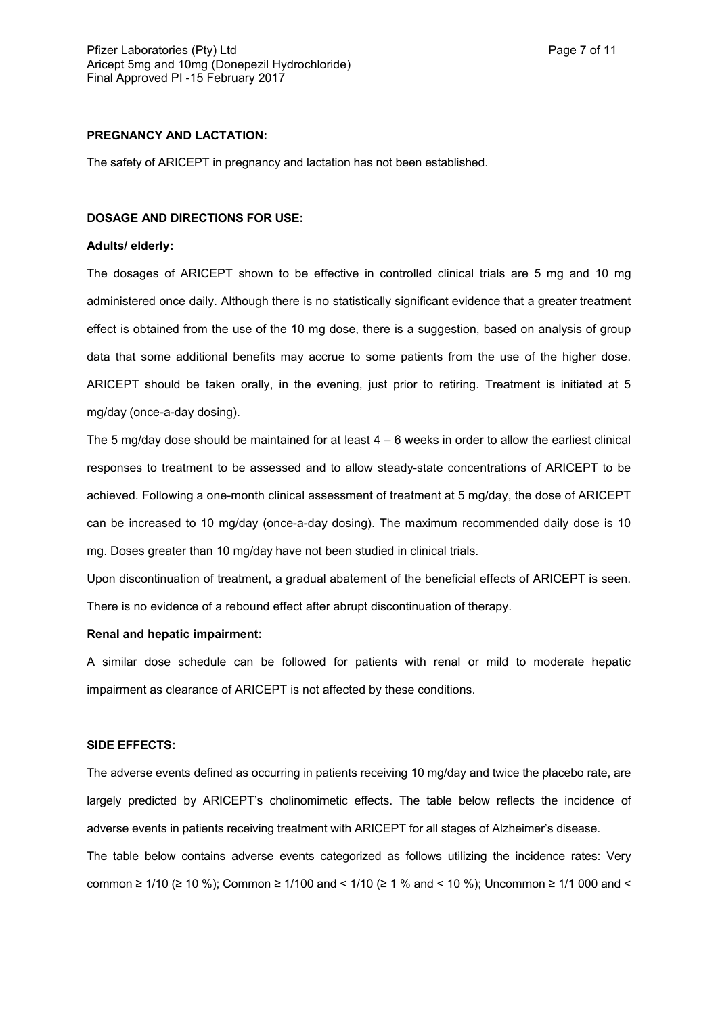The safety of ARICEPT in pregnancy and lactation has not been established.

### **DOSAGE AND DIRECTIONS FOR USE:**

#### **Adults/ elderly:**

The dosages of ARICEPT shown to be effective in controlled clinical trials are 5 mg and 10 mg administered once daily. Although there is no statistically significant evidence that a greater treatment effect is obtained from the use of the 10 mg dose, there is a suggestion, based on analysis of group data that some additional benefits may accrue to some patients from the use of the higher dose. ARICEPT should be taken orally, in the evening, just prior to retiring. Treatment is initiated at 5 mg/day (once-a-day dosing).

The 5 mg/day dose should be maintained for at least  $4 - 6$  weeks in order to allow the earliest clinical responses to treatment to be assessed and to allow steady-state concentrations of ARICEPT to be achieved. Following a one-month clinical assessment of treatment at 5 mg/day, the dose of ARICEPT can be increased to 10 mg/day (once-a-day dosing). The maximum recommended daily dose is 10 mg. Doses greater than 10 mg/day have not been studied in clinical trials.

Upon discontinuation of treatment, a gradual abatement of the beneficial effects of ARICEPT is seen. There is no evidence of a rebound effect after abrupt discontinuation of therapy.

## **Renal and hepatic impairment:**

A similar dose schedule can be followed for patients with renal or mild to moderate hepatic impairment as clearance of ARICEPT is not affected by these conditions.

### **SIDE EFFECTS:**

The adverse events defined as occurring in patients receiving 10 mg/day and twice the placebo rate, are largely predicted by ARICEPT's cholinomimetic effects. The table below reflects the incidence of adverse events in patients receiving treatment with ARICEPT for all stages of Alzheimer's disease. The table below contains adverse events categorized as follows utilizing the incidence rates: Very common ≥ 1/10 (≥ 10 %); Common ≥ 1/100 and < 1/10 (≥ 1 % and < 10 %); Uncommon ≥ 1/1 000 and <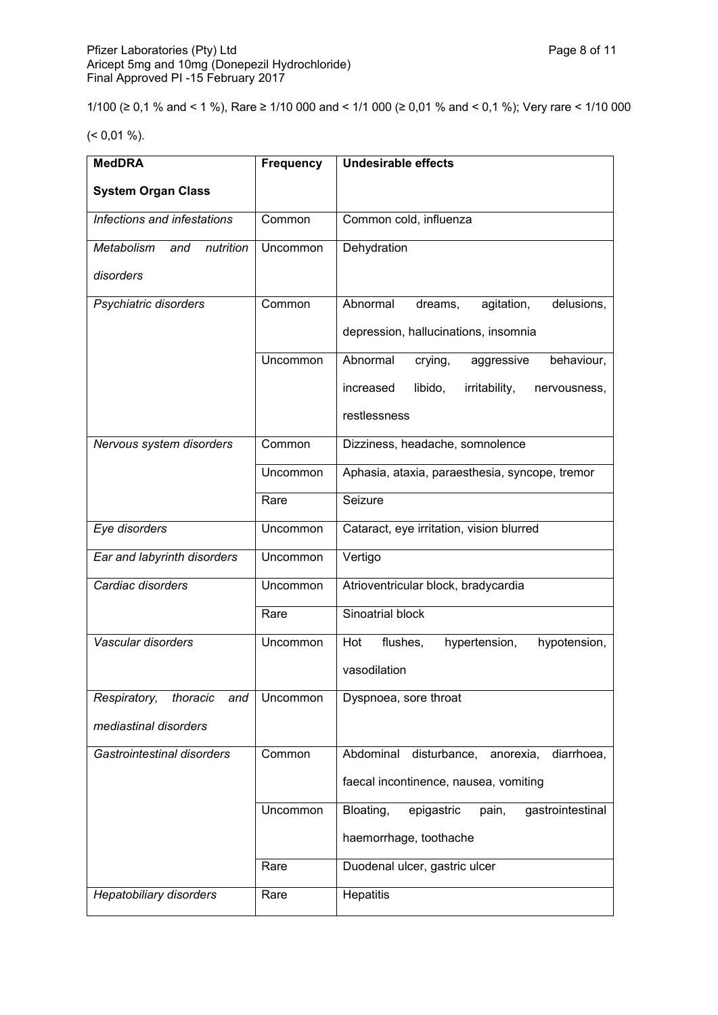1/100 (≥ 0,1 % and < 1 %), Rare ≥ 1/10 000 and < 1/1 000 (≥ 0,01 % and < 0,1 %); Very rare < 1/10 000

 $(< 0.01 %$ ).

| <b>MedDRA</b>                   | <b>Frequency</b> | <b>Undesirable effects</b>                            |  |  |
|---------------------------------|------------------|-------------------------------------------------------|--|--|
| <b>System Organ Class</b>       |                  |                                                       |  |  |
| Infections and infestations     | Common           | Common cold, influenza                                |  |  |
| Metabolism<br>nutrition<br>and  | Uncommon         | Dehydration                                           |  |  |
| disorders                       |                  |                                                       |  |  |
| Psychiatric disorders           | Common           | Abnormal<br>agitation,<br>delusions,<br>dreams,       |  |  |
|                                 |                  | depression, hallucinations, insomnia                  |  |  |
|                                 | Uncommon         | crying,<br>Abnormal<br>behaviour,<br>aggressive       |  |  |
|                                 |                  | irritability,<br>increased<br>libido,<br>nervousness, |  |  |
|                                 |                  | restlessness                                          |  |  |
| Nervous system disorders        | Common           | Dizziness, headache, somnolence                       |  |  |
|                                 | Uncommon         | Aphasia, ataxia, paraesthesia, syncope, tremor        |  |  |
|                                 | Rare             | Seizure                                               |  |  |
| Eye disorders                   | Uncommon         | Cataract, eye irritation, vision blurred              |  |  |
| Ear and labyrinth disorders     | Uncommon         | Vertigo                                               |  |  |
| Cardiac disorders               | Uncommon         | Atrioventricular block, bradycardia                   |  |  |
|                                 | Rare             | Sinoatrial block                                      |  |  |
| Vascular disorders              | <b>Uncommon</b>  | Hot<br>flushes,<br>hypertension,<br>hypotension,      |  |  |
|                                 |                  | vasodilation                                          |  |  |
| Respiratory,<br>thoracic<br>and | Uncommon         | Dyspnoea, sore throat                                 |  |  |
| mediastinal disorders           |                  |                                                       |  |  |
| Gastrointestinal disorders      | Common           | Abdominal<br>disturbance, anorexia,<br>diarrhoea,     |  |  |
|                                 |                  | faecal incontinence, nausea, vomiting                 |  |  |
|                                 | Uncommon         | Bloating,<br>epigastric<br>gastrointestinal<br>pain,  |  |  |
|                                 |                  | haemorrhage, toothache                                |  |  |
|                                 | Rare             | Duodenal ulcer, gastric ulcer                         |  |  |
| Hepatobiliary disorders         | Rare             | Hepatitis                                             |  |  |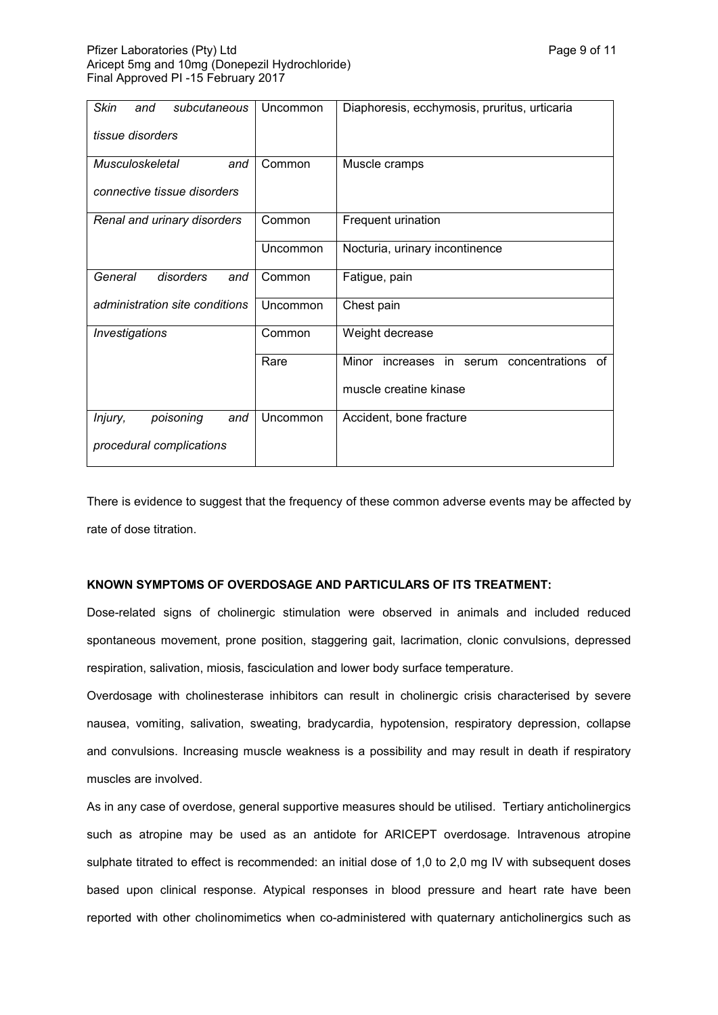| Skin<br>and<br>subcutaneous<br>tissue disorders | Uncommon | Diaphoresis, ecchymosis, pruritus, urticaria     |
|-------------------------------------------------|----------|--------------------------------------------------|
|                                                 |          |                                                  |
| Musculoskeletal<br>and                          | Common   | Muscle cramps                                    |
| connective tissue disorders                     |          |                                                  |
| Renal and urinary disorders                     | Common   | Frequent urination                               |
|                                                 | Uncommon | Nocturia, urinary incontinence                   |
| General<br>disorders<br>and                     | Common   | Fatigue, pain                                    |
| administration site conditions                  | Uncommon | Chest pain                                       |
| <b>Investigations</b>                           | Common   | Weight decrease                                  |
|                                                 | Rare     | Minor increases in serum<br>concentrations<br>οf |
|                                                 |          | muscle creatine kinase                           |
| poisoning<br>Injury,<br>and                     | Uncommon | Accident, bone fracture                          |
| procedural complications                        |          |                                                  |

There is evidence to suggest that the frequency of these common adverse events may be affected by rate of dose titration.

# **KNOWN SYMPTOMS OF OVERDOSAGE AND PARTICULARS OF ITS TREATMENT:**

Dose-related signs of cholinergic stimulation were observed in animals and included reduced spontaneous movement, prone position, staggering gait, lacrimation, clonic convulsions, depressed respiration, salivation, miosis, fasciculation and lower body surface temperature.

Overdosage with cholinesterase inhibitors can result in cholinergic crisis characterised by severe nausea, vomiting, salivation, sweating, bradycardia, hypotension, respiratory depression, collapse and convulsions. Increasing muscle weakness is a possibility and may result in death if respiratory muscles are involved.

As in any case of overdose, general supportive measures should be utilised. Tertiary anticholinergics such as atropine may be used as an antidote for ARICEPT overdosage. Intravenous atropine sulphate titrated to effect is recommended: an initial dose of 1,0 to 2,0 mg IV with subsequent doses based upon clinical response. Atypical responses in blood pressure and heart rate have been reported with other cholinomimetics when co-administered with quaternary anticholinergics such as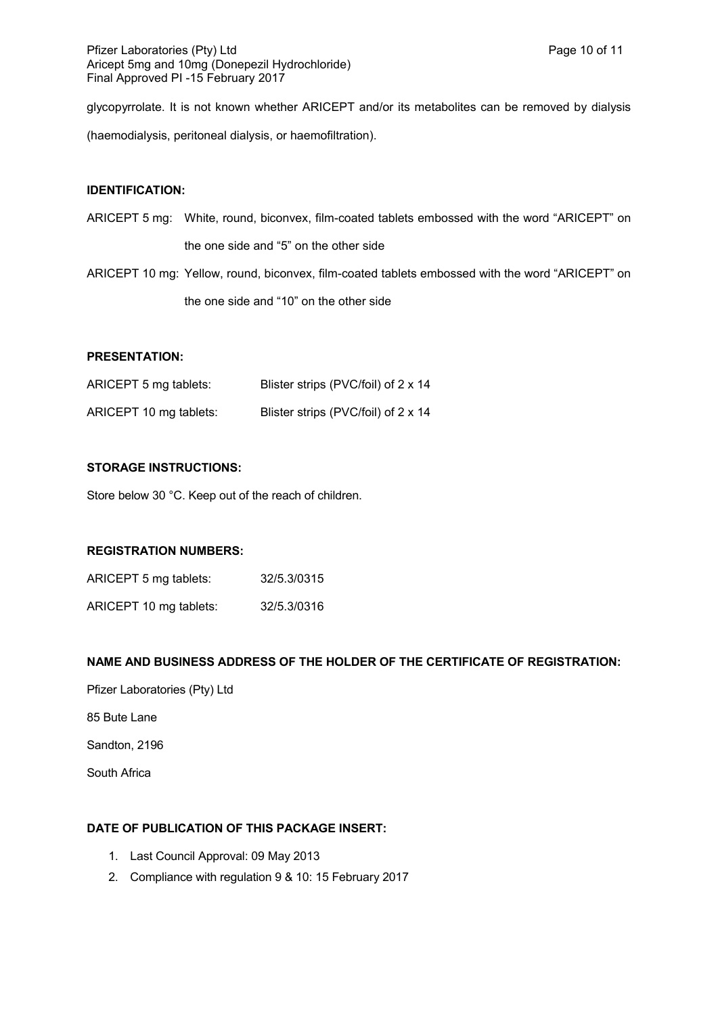glycopyrrolate. It is not known whether ARICEPT and/or its metabolites can be removed by dialysis (haemodialysis, peritoneal dialysis, or haemofiltration).

# **IDENTIFICATION:**

ARICEPT 5 mg: White, round, biconvex, film-coated tablets embossed with the word "ARICEPT" on the one side and "5" on the other side

ARICEPT 10 mg: Yellow, round, biconvex, film-coated tablets embossed with the word "ARICEPT" on the one side and "10" on the other side

# **PRESENTATION:**

| ARICEPT 5 mg tablets:  | Blister strips (PVC/foil) of 2 x 14 |
|------------------------|-------------------------------------|
| ARICEPT 10 mg tablets: | Blister strips (PVC/foil) of 2 x 14 |

# **STORAGE INSTRUCTIONS:**

Store below 30 °C. Keep out of the reach of children.

# **REGISTRATION NUMBERS:**

| ARICEPT 5 mg tablets:  | 32/5.3/0315 |
|------------------------|-------------|
| ARICEPT 10 mg tablets: | 32/5.3/0316 |

# **NAME AND BUSINESS ADDRESS OF THE HOLDER OF THE CERTIFICATE OF REGISTRATION:**

Pfizer Laboratories (Pty) Ltd

85 Bute Lane

Sandton, 2196

South Africa

# **DATE OF PUBLICATION OF THIS PACKAGE INSERT:**

- 1. Last Council Approval: 09 May 2013
- 2. Compliance with regulation 9 & 10: 15 February 2017